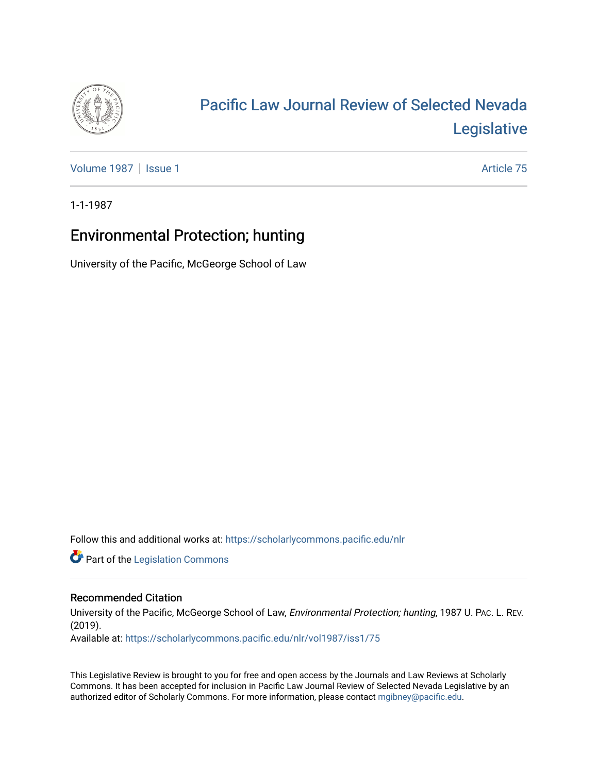

# [Pacific Law Journal Review of Selected Nevada](https://scholarlycommons.pacific.edu/nlr)  [Legislative](https://scholarlycommons.pacific.edu/nlr)

[Volume 1987](https://scholarlycommons.pacific.edu/nlr/vol1987) | [Issue 1](https://scholarlycommons.pacific.edu/nlr/vol1987/iss1) Article 75

1-1-1987

## Environmental Protection; hunting

University of the Pacific, McGeorge School of Law

Follow this and additional works at: [https://scholarlycommons.pacific.edu/nlr](https://scholarlycommons.pacific.edu/nlr?utm_source=scholarlycommons.pacific.edu%2Fnlr%2Fvol1987%2Fiss1%2F75&utm_medium=PDF&utm_campaign=PDFCoverPages) 

**Part of the [Legislation Commons](http://network.bepress.com/hgg/discipline/859?utm_source=scholarlycommons.pacific.edu%2Fnlr%2Fvol1987%2Fiss1%2F75&utm_medium=PDF&utm_campaign=PDFCoverPages)** 

#### Recommended Citation

University of the Pacific, McGeorge School of Law, Environmental Protection; hunting, 1987 U. PAC. L. REV. (2019).

Available at: [https://scholarlycommons.pacific.edu/nlr/vol1987/iss1/75](https://scholarlycommons.pacific.edu/nlr/vol1987/iss1/75?utm_source=scholarlycommons.pacific.edu%2Fnlr%2Fvol1987%2Fiss1%2F75&utm_medium=PDF&utm_campaign=PDFCoverPages)

This Legislative Review is brought to you for free and open access by the Journals and Law Reviews at Scholarly Commons. It has been accepted for inclusion in Pacific Law Journal Review of Selected Nevada Legislative by an authorized editor of Scholarly Commons. For more information, please contact [mgibney@pacific.edu](mailto:mgibney@pacific.edu).